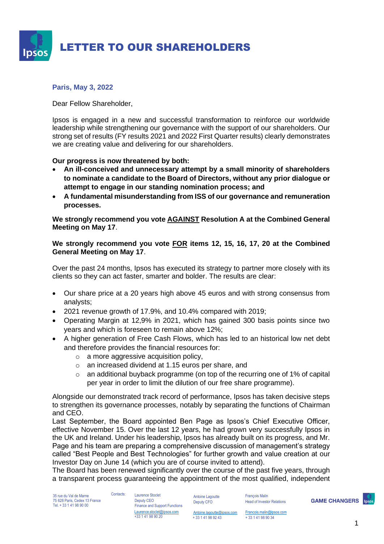

# **Paris, May 3, 2022**

Dear Fellow Shareholder,

Ipsos is engaged in a new and successful transformation to reinforce our worldwide leadership while strengthening our governance with the support of our shareholders. Our strong set of results (FY results 2021 and 2022 First Quarter results) clearly demonstrates we are creating value and delivering for our shareholders.

# **Our progress is now threatened by both:**

- **An ill-conceived and unnecessary attempt by a small minority of shareholders to nominate a candidate to the Board of Directors, without any prior dialogue or attempt to engage in our standing nomination process; and**
- **A fundamental misunderstanding from ISS of our governance and remuneration processes.**

**We strongly recommend you vote AGAINST Resolution A at the Combined General Meeting on May 17**.

**We strongly recommend you vote FOR items 12, 15, 16, 17, 20 at the Combined General Meeting on May 17**.

Over the past 24 months, Ipsos has executed its strategy to partner more closely with its clients so they can act faster, smarter and bolder. The results are clear:

- Our share price at a 20 years high above 45 euros and with strong consensus from analysts;
- 2021 revenue growth of 17.9%, and 10.4% compared with 2019;
- Operating Margin at 12,9% in 2021, which has gained 300 basis points since two years and which is foreseen to remain above 12%;
- A higher generation of Free Cash Flows, which has led to an historical low net debt and therefore provides the financial resources for:
	- o a more aggressive acquisition policy,
	- o an increased dividend at 1.15 euros per share, and
	- $\circ$  an additional buyback programme (on top of the recurring one of 1% of capital per year in order to limit the dilution of our free share programme).

Alongside our demonstrated track record of performance, Ipsos has taken decisive steps to strengthen its governance processes, notably by separating the functions of Chairman and CEO.

Last September, the Board appointed Ben Page as Ipsos's Chief Executive Officer, effective November 15. Over the last 12 years, he had grown very successfully Ipsos in the UK and Ireland. Under his leadership, Ipsos has already built on its progress, and Mr. Page and his team are preparing a comprehensive discussion of management's strategy called "Best People and Best Technologies" for further growth and value creation at our Investor Day on June 14 (which you are of course invited to attend).

The Board has been renewed significantly over the course of the past five years, through a transparent process guaranteeing the appointment of the most qualified, independent

35 rue du Val de Marne 75 628 Paris, Cedex 13 France Tel. + 33 1 41 98 90 00

Contacts: Laurence Stoclet Deputy CEO Finance and Support Functions Laurence.stoclet@ipsos.com

+33 1 41 98 90 20

Antoine Lagoutte Deputy CFO

[Antoine.lagoutte@ipsos.com](mailto:Antoine.lagoutte@ipsos.com) + 33 1 41 98 92 43

François Malin Head of Investor Relations

**GAME CHANGERS**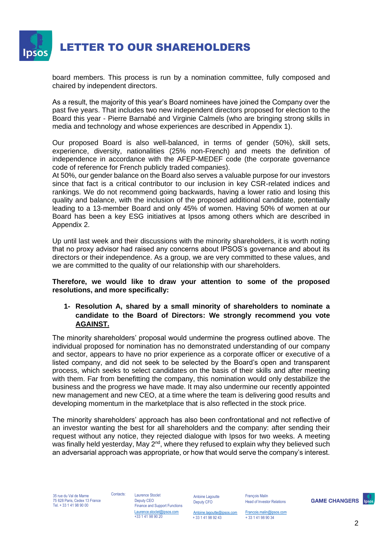

board members. This process is run by a nomination committee, fully composed and chaired by independent directors.

As a result, the majority of this year's Board nominees have joined the Company over the past five years. That includes two new independent directors proposed for election to the Board this year - Pierre Barnabé and Virginie Calmels (who are bringing strong skills in media and technology and whose experiences are described in Appendix 1).

Our proposed Board is also well-balanced, in terms of gender (50%), skill sets, experience, diversity, nationalities (25% non-French) and meets the definition of independence in accordance with the AFEP-MEDEF code (the corporate governance code of reference for French publicly traded companies).

At 50%, our gender balance on the Board also serves a valuable purpose for our investors since that fact is a critical contributor to our inclusion in key CSR-related indices and rankings. We do not recommend going backwards, having a lower ratio and losing this quality and balance, with the inclusion of the proposed additional candidate, potentially leading to a 13-member Board and only 45% of women. Having 50% of women at our Board has been a key ESG initiatives at Ipsos among others which are described in Appendix 2.

Up until last week and their discussions with the minority shareholders, it is worth noting that no proxy advisor had raised any concerns about IPSOS's governance and about its directors or their independence. As a group, we are very committed to these values, and we are committed to the quality of our relationship with our shareholders.

**Therefore, we would like to draw your attention to some of the proposed resolutions, and more specifically:** 

# **1- Resolution A, shared by a small minority of shareholders to nominate a candidate to the Board of Directors: We strongly recommend you vote AGAINST.**

The minority shareholders' proposal would undermine the progress outlined above. The individual proposed for nomination has no demonstrated understanding of our company and sector, appears to have no prior experience as a corporate officer or executive of a listed company, and did not seek to be selected by the Board's open and transparent process, which seeks to select candidates on the basis of their skills and after meeting with them. Far from benefitting the company, this nomination would only destabilize the business and the progress we have made. It may also undermine our recently appointed new management and new CEO, at a time where the team is delivering good results and developing momentum in the marketplace that is also reflected in the stock price.

The minority shareholders' approach has also been confrontational and not reflective of an investor wanting the best for all shareholders and the company: after sending their request without any notice, they rejected dialogue with Ipsos for two weeks. A meeting was finally held yesterday, May 2<sup>nd</sup>, where they refused to explain why they believed such an adversarial approach was appropriate, or how that would serve the company's interest.

35 rue du Val de Marne 75 628 Paris, Cedex 13 France Tel. + 33 1 41 98 90 00

Contacts: Laurence Stoclet Deputy CEO Finance and Support Functions Laurence.stoclet@ipsos.com +33 1 41 98 90 20

Antoine Lagoutte Deputy CFO

[Antoine.lagoutte@ipsos.com](mailto:Antoine.lagoutte@ipsos.com) + 33 1 41 98 92 43

François Malin Head of Investor Relations

[Francois.malin@ipsos.com](mailto:Francois.malin@ipsos.com) + 33 1 41 98 90 34

**GAME CHANGERS** 

2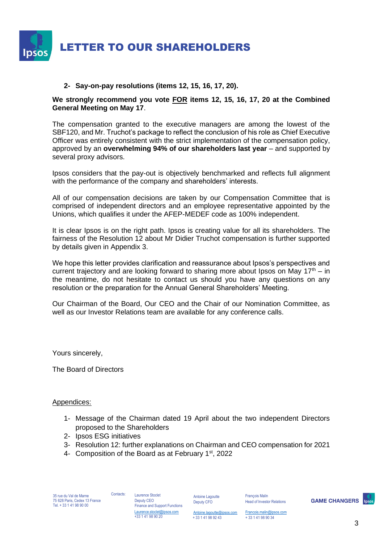

# **2- Say-on-pay resolutions (items 12, 15, 16, 17, 20).**

### **We strongly recommend you vote FOR items 12, 15, 16, 17, 20 at the Combined General Meeting on May 17**.

The compensation granted to the executive managers are among the lowest of the SBF120, and Mr. Truchot's package to reflect the conclusion of his role as Chief Executive Officer was entirely consistent with the strict implementation of the compensation policy, approved by an **overwhelming 94% of our shareholders last year** – and supported by several proxy advisors.

Ipsos considers that the pay-out is objectively benchmarked and reflects full alignment with the performance of the company and shareholders' interests.

All of our compensation decisions are taken by our Compensation Committee that is comprised of independent directors and an employee representative appointed by the Unions, which qualifies it under the AFEP-MEDEF code as 100% independent.

It is clear Ipsos is on the right path. Ipsos is creating value for all its shareholders. The fairness of the Resolution 12 about Mr Didier Truchot compensation is further supported by details given in Appendix 3.

We hope this letter provides clarification and reassurance about Ipsos's perspectives and current trajectory and are looking forward to sharing more about Ipsos on May  $17<sup>th</sup> - in$ the meantime, do not hesitate to contact us should you have any questions on any resolution or the preparation for the Annual General Shareholders' Meeting.

Our Chairman of the Board, Our CEO and the Chair of our Nomination Committee, as well as our Investor Relations team are available for any conference calls.

Yours sincerely,

The Board of Directors

#### Appendices:

- 1- Message of the Chairman dated 19 April about the two independent Directors proposed to the Shareholders
- 2- Ipsos ESG initiatives
- 3- Resolution 12: further explanations on Chairman and CEO compensation for 2021
- 4- Composition of the Board as at February 1<sup>st</sup>, 2022

35 rue du Val de Marne 75 628 Paris, Cedex 13 France Tel. + 33 1 41 98 90 00

Contacts: Laurence Stoclet Deputy CEO Finance and Support Functions Laurence.stoclet@ipsos.com +33 1 41 98 90 20

Antoine Lagoutte Deputy CFO

François Malin Head of Investor Relations

**GAME CHANGERS** 

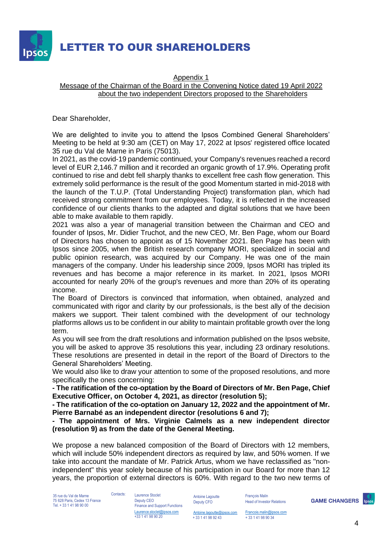

#### Appendix 1 Message of the Chairman of the Board in the Convening Notice dated 19 April 2022 about the two independent Directors proposed to the Shareholders

Dear Shareholder,

We are delighted to invite you to attend the Ipsos Combined General Shareholders' Meeting to be held at 9:30 am (CET) on May 17, 2022 at Ipsos' registered office located 35 rue du Val de Marne in Paris (75013).

In 2021, as the covid-19 pandemic continued, your Company's revenues reached a record level of EUR 2,146.7 million and it recorded an organic growth of 17.9%. Operating profit continued to rise and debt fell sharply thanks to excellent free cash flow generation. This extremely solid performance is the result of the good Momentum started in mid-2018 with the launch of the T.U.P. (Total Understanding Project) transformation plan, which had received strong commitment from our employees. Today, it is reflected in the increased confidence of our clients thanks to the adapted and digital solutions that we have been able to make available to them rapidly.

2021 was also a year of managerial transition between the Chairman and CEO and founder of Ipsos, Mr. Didier Truchot, and the new CEO, Mr. Ben Page, whom our Board of Directors has chosen to appoint as of 15 November 2021. Ben Page has been with Ipsos since 2005, when the British research company MORI, specialized in social and public opinion research, was acquired by our Company. He was one of the main managers of the company. Under his leadership since 2009, Ipsos MORI has tripled its revenues and has become a major reference in its market. In 2021, Ipsos MORI accounted for nearly 20% of the group's revenues and more than 20% of its operating income.

The Board of Directors is convinced that information, when obtained, analyzed and communicated with rigor and clarity by our professionals, is the best ally of the decision makers we support. Their talent combined with the development of our technology platforms allows us to be confident in our ability to maintain profitable growth over the long term.

As you will see from the draft resolutions and information published on the Ipsos website, you will be asked to approve 35 resolutions this year, including 23 ordinary resolutions. These resolutions are presented in detail in the report of the Board of Directors to the General Shareholders' Meeting.

We would also like to draw your attention to some of the proposed resolutions, and more specifically the ones concerning:

**- The ratification of the co-optation by the Board of Directors of Mr. Ben Page, Chief Executive Officer, on October 4, 2021, as director (resolution 5);** 

**- The ratification of the co-optation on January 12, 2022 and the appointment of Mr. Pierre Barnabé as an independent director (resolutions 6 and 7);** 

**- The appointment of Mrs. Virginie Calmels as a new independent director (resolution 9) as from the date of the General Meeting.** 

We propose a new balanced composition of the Board of Directors with 12 members, which will include 50% independent directors as required by law, and 50% women. If we take into account the mandate of Mr. Patrick Artus, whom we have reclassified as "nonindependent" this year solely because of his participation in our Board for more than 12 years, the proportion of external directors is 60%. With regard to the two new terms of

35 rue du Val de Marne 75 628 Paris, Cedex 13 France Tel. + 33 1 41 98 90 00

Contacts: Laurence Stoclet Deputy CEO Finance and Support Functions Laurence.stoclet@ipsos.com +33 1 41 98 90 20

Antoine Lagoutte Deputy CFO

François Malin Head of Investor Relations

**GAME CHANGERS** 

[Antoine.lagoutte@ipsos.com](mailto:Antoine.lagoutte@ipsos.com) + 33 1 41 98 92 43

[Francois.malin@ipsos.com](mailto:Francois.malin@ipsos.com) + 33 1 41 98 90 34

4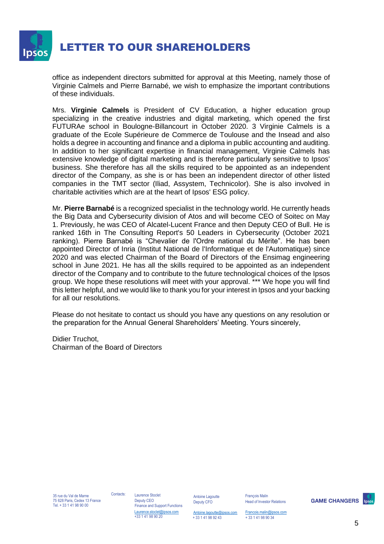

office as independent directors submitted for approval at this Meeting, namely those of Virginie Calmels and Pierre Barnabé, we wish to emphasize the important contributions of these individuals.

Mrs. **Virginie Calmels** is President of CV Education, a higher education group specializing in the creative industries and digital marketing, which opened the first FUTURAe school in Boulogne-Billancourt in October 2020. 3 Virginie Calmels is a graduate of the Ecole Supérieure de Commerce de Toulouse and the Insead and also holds a degree in accounting and finance and a diploma in public accounting and auditing. In addition to her significant expertise in financial management, Virginie Calmels has extensive knowledge of digital marketing and is therefore particularly sensitive to Ipsos' business. She therefore has all the skills required to be appointed as an independent director of the Company, as she is or has been an independent director of other listed companies in the TMT sector (Iliad, Assystem, Technicolor). She is also involved in charitable activities which are at the heart of Ipsos' ESG policy.

Mr. **Pierre Barnabé** is a recognized specialist in the technology world. He currently heads the Big Data and Cybersecurity division of Atos and will become CEO of Soitec on May 1. Previously, he was CEO of Alcatel-Lucent France and then Deputy CEO of Bull. He is ranked 16th in The Consulting Report's 50 Leaders in Cybersecurity (October 2021 ranking). Pierre Barnabé is "Chevalier de l'Ordre national du Mérite". He has been appointed Director of Inria (Institut National de l'Informatique et de l'Automatique) since 2020 and was elected Chairman of the Board of Directors of the Ensimag engineering school in June 2021. He has all the skills required to be appointed as an independent director of the Company and to contribute to the future technological choices of the Ipsos group. We hope these resolutions will meet with your approval. \*\*\* We hope you will find this letter helpful, and we would like to thank you for your interest in Ipsos and your backing for all our resolutions.

Please do not hesitate to contact us should you have any questions on any resolution or the preparation for the Annual General Shareholders' Meeting. Yours sincerely,

Didier Truchot, Chairman of the Board of Directors

Contacts: Laurence Stoclet Deputy CEO

Finance and Support Functions Laurence.stoclet@ipsos.com +33 1 41 98 90 20

Antoine Lagoutte Deputy CFO

François Malin Head of Investor Relations

**GAME CHANGERS** 



[Antoine.lagoutte@ipsos.com](mailto:Antoine.lagoutte@ipsos.com) + 33 1 41 98 92 43 [Francois.malin@ipsos.com](mailto:Francois.malin@ipsos.com) + 33 1 41 98 90 34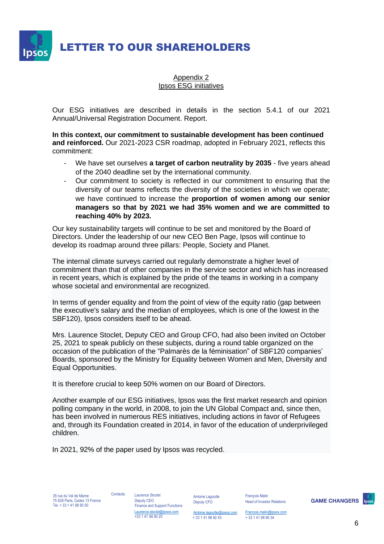LETTER TO OUR SHAREHOLDERS

Appendix 2 Ipsos ESG initiatives

Our ESG initiatives are described in details in the section 5.4.1 of our 2021 Annual/Universal Registration Document. Report.

**In this context, our commitment to sustainable development has been continued and reinforced.** Our 2021-2023 CSR roadmap, adopted in February 2021, reflects this commitment:

- We have set ourselves **a target of carbon neutrality by 2035** five years ahead of the 2040 deadline set by the international community.
- Our commitment to society is reflected in our commitment to ensuring that the diversity of our teams reflects the diversity of the societies in which we operate; we have continued to increase the **proportion of women among our senior managers so that by 2021 we had 35% women and we are committed to reaching 40% by 2023.**

Our key sustainability targets will continue to be set and monitored by the Board of Directors. Under the leadership of our new CEO Ben Page, Ipsos will continue to develop its roadmap around three pillars: People, Society and Planet.

The internal climate surveys carried out regularly demonstrate a higher level of commitment than that of other companies in the service sector and which has increased in recent years, which is explained by the pride of the teams in working in a company whose societal and environmental are recognized.

In terms of gender equality and from the point of view of the equity ratio (gap between the executive's salary and the median of employees, which is one of the lowest in the SBF120), Ipsos considers itself to be ahead.

Mrs. Laurence Stoclet, Deputy CEO and Group CFO, had also been invited on October 25, 2021 to speak publicly on these subjects, during a round table organized on the occasion of the publication of the "Palmarès de la féminisation" of SBF120 companies' Boards, sponsored by the Ministry for Equality between Women and Men, Diversity and Equal Opportunities.

It is therefore crucial to keep 50% women on our Board of Directors.

Another example of our ESG initiatives, Ipsos was the first market research and opinion polling company in the world, in 2008, to join the UN Global Compact and, since then, has been involved in numerous RES initiatives, including actions in favor of Refugees and, through its Foundation created in 2014, in favor of the education of underprivileged children.

In 2021, 92% of the paper used by Ipsos was recycled.

35 rue du Val de Marne 75 628 Paris, Cedex 13 France Tel. + 33 1 41 98 90 00

Contacts: Laurence Stoclet Deputy CEO Finance and Support Functions Laurence.stoclet@ipsos.com +33 1 41 98 90 20

Antoine Lagoutte Deputy CFO

François Malin Head of Investor Relations

**GAME CHANGERS** 

[Antoine.lagoutte@ipsos.com](mailto:Antoine.lagoutte@ipsos.com) + 33 1 41 98 92 43

[Francois.malin@ipsos.com](mailto:Francois.malin@ipsos.com) + 33 1 41 98 90 34

6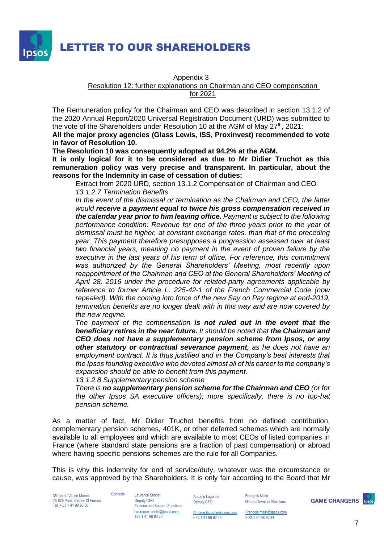

Appendix 3

Resolution 12: further explanations on Chairman and CEO compensation

for 2021

The Remuneration policy for the Chairman and CEO was described in section 13.1.2 of the 2020 Annual Report/2020 Universal Registration Document (URD) was submitted to the vote of the Shareholders under Resolution 10 at the AGM of May 27<sup>th</sup>, 2021:

**All the major proxy agencies (Glass Lewis, ISS, Proxinvest) recommended to vote in favor of Resolution 10.** 

**The Resolution 10 was consequently adopted at 94.2% at the AGM.** 

**It is only logical for it to be considered as due to Mr Didier Truchot as this remuneration policy was very precise and transparent. In particular, about the reasons for the Indemnity in case of cessation of duties:**

Extract from 2020 URD, section 13.1.2 Compensation of Chairman and CEO *13.1.2.7 Termination Benefits*

*In the event of the dismissal or termination as the Chairman and CEO, the latter would receive a payment equal to twice his gross compensation received in the calendar year prior to him leaving office. Payment is subject to the following performance condition: Revenue for one of the three years prior to the year of dismissal must be higher, at constant exchange rates, than that of the preceding year. This payment therefore presupposes a progression assessed over at least two financial years, meaning no payment in the event of proven failure by the executive in the last years of his term of office. For reference, this commitment was authorized by the General Shareholders' Meeting, most recently upon reappointment of the Chairman and CEO at the General Shareholders' Meeting of April 28, 2016 under the procedure for related-party agreements applicable by reference to former Article L. 225-42-1 of the French Commercial Code (now repealed). With the coming into force of the new Say on Pay regime at end-2019, termination benefits are no longer dealt with in this way and are now covered by the new regime.* 

*The payment of the compensation is not ruled out in the event that the beneficiary retires in the near future. It should be noted that the Chairman and CEO does not have a supplementary pension scheme from Ipsos, or any other statutory or contractual severance payment, as he does not have an employment contract. It is thus justified and in the Company's best interests that the Ipsos founding executive who devoted almost all of his career to the company's expansion should be able to benefit from this payment.* 

*13.1.2.8 Supplementary pension scheme* 

*There is no supplementary pension scheme for the Chairman and CEO (or for the other Ipsos SA executive officers); more specifically, there is no top-hat pension scheme.*

As a matter of fact, Mr Didier Truchot benefits from no defined contribution, complementary pension schemes, 401K, or other deferred schemes which are normally available to all employees and which are available to most CEOs of listed companies in France (where standard state pensions are a fraction of past compensation) or abroad where having specific pensions schemes are the rule for all Companies.

This is why this indemnity for end of service/duty, whatever was the circumstance or cause, was approved by the Shareholders. It is only fair according to the Board that Mr

35 rue du Val de Marne 75 628 Paris, Cedex 13 France Tel. + 33 1 41 98 90 00

Contacts: Laurence Stoclet Deputy CEO Finance and Support Functions Laurence.stoclet@ipsos.com

+33 1 41 98 90 20

Antoine Lagoutte Deputy CFO

+ 33 1 41 98 92 43

[Antoine.lagoutte@ipsos.com](mailto:Antoine.lagoutte@ipsos.com) [Francois.malin@ipsos.com](mailto:Francois.malin@ipsos.com)

François Malin

+ 33 1 41 98 90 34

Head of Investor Relations

**GAME CHANGERS**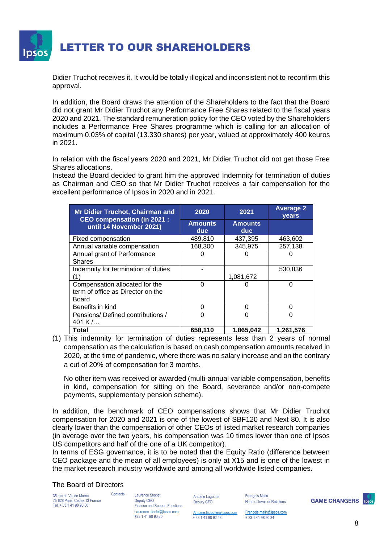

Didier Truchot receives it. It would be totally illogical and inconsistent not to reconfirm this approval.

In addition, the Board draws the attention of the Shareholders to the fact that the Board did not grant Mr Didier Truchot any Performance Free Shares related to the fiscal years 2020 and 2021. The standard remuneration policy for the CEO voted by the Shareholders includes a Performance Free Shares programme which is calling for an allocation of maximum 0,03% of capital (13.330 shares) per year, valued at approximately 400 keuros in 2021.

In relation with the fiscal years 2020 and 2021, Mr Didier Truchot did not get those Free Shares allocations.

Instead the Board decided to grant him the approved Indemnity for termination of duties as Chairman and CEO so that Mr Didier Truchot receives a fair compensation for the excellent performance of Ipsos in 2020 and in 2021.

| <b>Mr Didier Truchot, Chairman and</b><br><b>CEO compensation (in 2021:</b> | 2020                  | 2021                  | <b>Average 2</b><br>years |
|-----------------------------------------------------------------------------|-----------------------|-----------------------|---------------------------|
| until 14 November 2021)                                                     | <b>Amounts</b><br>due | <b>Amounts</b><br>due |                           |
| Fixed compensation                                                          | 489,810               | 437,395               | 463,602                   |
| Annual variable compensation                                                | 168,300               | 345,975               | 257,138                   |
| Annual grant of Performance                                                 |                       |                       |                           |
| <b>Shares</b>                                                               |                       |                       |                           |
| Indemnity for termination of duties                                         |                       |                       | 530,836                   |
|                                                                             |                       | 1,081,672             |                           |
| Compensation allocated for the                                              | 0                     |                       | ი                         |
| term of office as Director on the                                           |                       |                       |                           |
| Board                                                                       |                       |                       |                           |
| Benefits in kind                                                            | ∩                     | ∩                     | ი                         |
| Pensions/Defined contributions /                                            | ∩                     | U                     | ი                         |
| 401 K $/$                                                                   |                       |                       |                           |
| Total                                                                       | 658,110               | 1,865,042             | 1,261,576                 |

(1) This indemnity for termination of duties represents less than 2 years of normal compensation as the calculation is based on cash compensation amounts received in 2020, at the time of pandemic, where there was no salary increase and on the contrary a cut of 20% of compensation for 3 months.

No other item was received or awarded (multi-annual variable compensation, benefits in kind, compensation for sitting on the Board, severance and/or non-compete payments, supplementary pension scheme).

In addition, the benchmark of CEO compensations shows that Mr Didier Truchot compensation for 2020 and 2021 is one of the lowest of SBF120 and Next 80. It is also clearly lower than the compensation of other CEOs of listed market research companies (in average over the two years, his compensation was 10 times lower than one of Ipsos US competitors and half of the one of a UK competitor).

In terms of ESG governance, it is to be noted that the Equity Ratio (difference between CEO package and the mean of all employees) is only at X15 and is one of the lowest in the market research industry worldwide and among all worldwide listed companies.

The Board of Directors

35 rue du Val de Marne 75 628 Paris, Cedex 13 France Tel. + 33 1 41 98 90 00

Contacts: Laurence Stoclet Deputy CEO Finance and Support Functions Laurence.stoclet@ipsos.com +33 1 41 98 90 20

Antoine Lagoutte Deputy CFO

François Malin Head of Investor Relations

**GAME CHANGERS**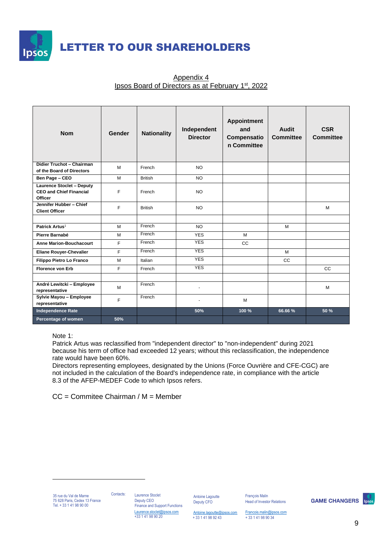

| <b>Nom</b>                                                                           | Gender | <b>Nationality</b> | Independent<br><b>Director</b> | <b>Appointment</b><br>and<br>Compensatio<br>n Committee | Audit<br><b>Committee</b> | <b>CSR</b><br><b>Committee</b> |
|--------------------------------------------------------------------------------------|--------|--------------------|--------------------------------|---------------------------------------------------------|---------------------------|--------------------------------|
| Didier Truchot - Chairman<br>of the Board of Directors                               | M      | French             | <b>NO</b>                      |                                                         |                           |                                |
| Ben Page - CEO                                                                       | M      | <b>British</b>     | <b>NO</b>                      |                                                         |                           |                                |
| <b>Laurence Stoclet - Deputy</b><br><b>CEO and Chief Financial</b><br><b>Officer</b> | F      | French             | <b>NO</b>                      |                                                         |                           |                                |
| Jennifer Hubber - Chief<br><b>Client Officer</b>                                     | F      | <b>British</b>     | <b>NO</b>                      |                                                         |                           | M                              |
|                                                                                      |        |                    |                                |                                                         |                           |                                |
| Patrick Artus <sup>1</sup>                                                           | M      | French             | <b>NO</b>                      |                                                         | M                         |                                |
| Pierre Barnabé                                                                       | M      | French             | <b>YES</b>                     | M                                                       |                           |                                |
| <b>Anne Marion-Bouchacourt</b>                                                       | F      | French             | <b>YES</b>                     | <b>CC</b>                                               |                           |                                |
| <b>Eliane Rouyer-Chevalier</b>                                                       | F      | French             | <b>YES</b>                     |                                                         | M                         |                                |
| Filippo Pietro Lo Franco                                                             | M      | Italian            | <b>YES</b>                     |                                                         | <b>CC</b>                 |                                |
| <b>Florence von Erb</b>                                                              | F      | French             | <b>YES</b>                     |                                                         |                           | cc                             |
|                                                                                      |        |                    |                                |                                                         |                           |                                |
| André Lewitcki - Employee<br>representative                                          | M      | French             | $\mathbf{r}$                   |                                                         |                           | M                              |
| Sylvie Mayou - Employee<br>representative                                            | F      | French             |                                | M                                                       |                           |                                |
| <b>Independence Rate</b>                                                             |        |                    | 50%                            | 100 %                                                   | 66.66 %                   | 50 %                           |
| Percentage of women                                                                  | 50%    |                    |                                |                                                         |                           |                                |

# Appendix 4 Ipsos Board of Directors as at February 1<sup>st</sup>, 2022

Note 1:

Patrick Artus was reclassified from "independent director" to "non-independent" during 2021 because his term of office had exceeded 12 years; without this reclassification, the independence rate would have been 60%.

Directors representing employees, designated by the Unions (Force Ouvrière and CFE-CGC) are not included in the calculation of the Board's independence rate, in compliance with the article 8.3 of the AFEP-MEDEF Code to which Ipsos refers.

CC = Commitee Chairman / M = Member

35 rue du Val de Marne 75 628 Paris, Cedex 13 France Tel. + 33 1 41 98 90 00

Contacts: Laurence Stoclet Deputy CEO Finance and Support Functions Laurence.stoclet@ipsos.com +33 1 41 98 90 20

Antoine Lagoutte Deputy CFO

François Malin Head of Investor Relations

**GAME CHANGERS** 

[Antoine.lagoutte@ipsos.com](mailto:Antoine.lagoutte@ipsos.com) + 33 1 41 98 92 43